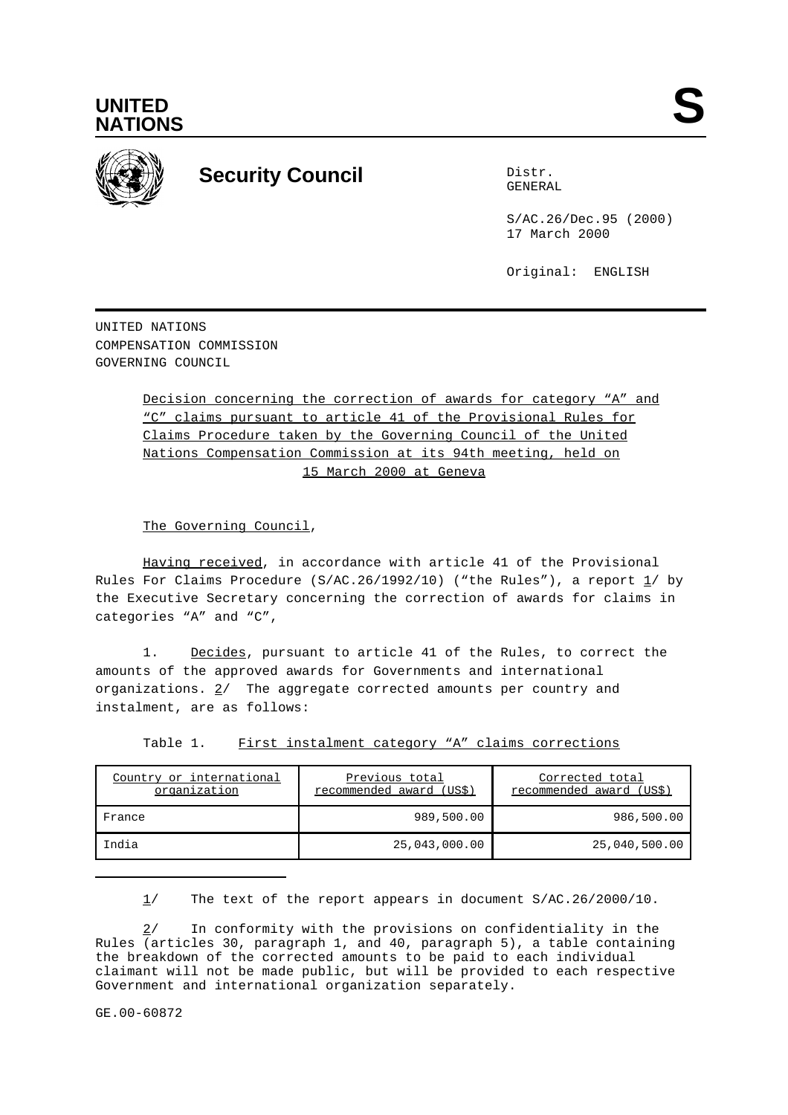



# **Security Council** Distribution Distribution

GENERAL

S/AC.26/Dec.95 (2000) 17 March 2000

Original: ENGLISH

UNITED NATIONS COMPENSATION COMMISSION GOVERNING COUNCIL

> Decision concerning the correction of awards for category "A" and "C" claims pursuant to article 41 of the Provisional Rules for Claims Procedure taken by the Governing Council of the United Nations Compensation Commission at its 94th meeting, held on 15 March 2000 at Geneva

The Governing Council,

Having received, in accordance with article 41 of the Provisional Rules For Claims Procedure (S/AC.26/1992/10) ("the Rules"), a report  $1/$  by the Executive Secretary concerning the correction of awards for claims in categories "A" and "C",

1. Decides, pursuant to article 41 of the Rules, to correct the amounts of the approved awards for Governments and international organizations.  $2/$  The aggregate corrected amounts per country and instalment, are as follows:

Table 1. First instalment category "A" claims corrections

| Country or international<br>organization | Previous total<br>recommended award (US\$) | Corrected total<br>recommended award (US\$) |
|------------------------------------------|--------------------------------------------|---------------------------------------------|
| France                                   | 989,500.00                                 | 986,500.00                                  |
| India                                    | 25,043,000.00                              | 25,040,500.00                               |

1/ The text of the report appears in document S/AC.26/2000/10.

2/ In conformity with the provisions on confidentiality in the Rules (articles 30, paragraph 1, and 40, paragraph 5), a table containing the breakdown of the corrected amounts to be paid to each individual claimant will not be made public, but will be provided to each respective Government and international organization separately.

GE.00-60872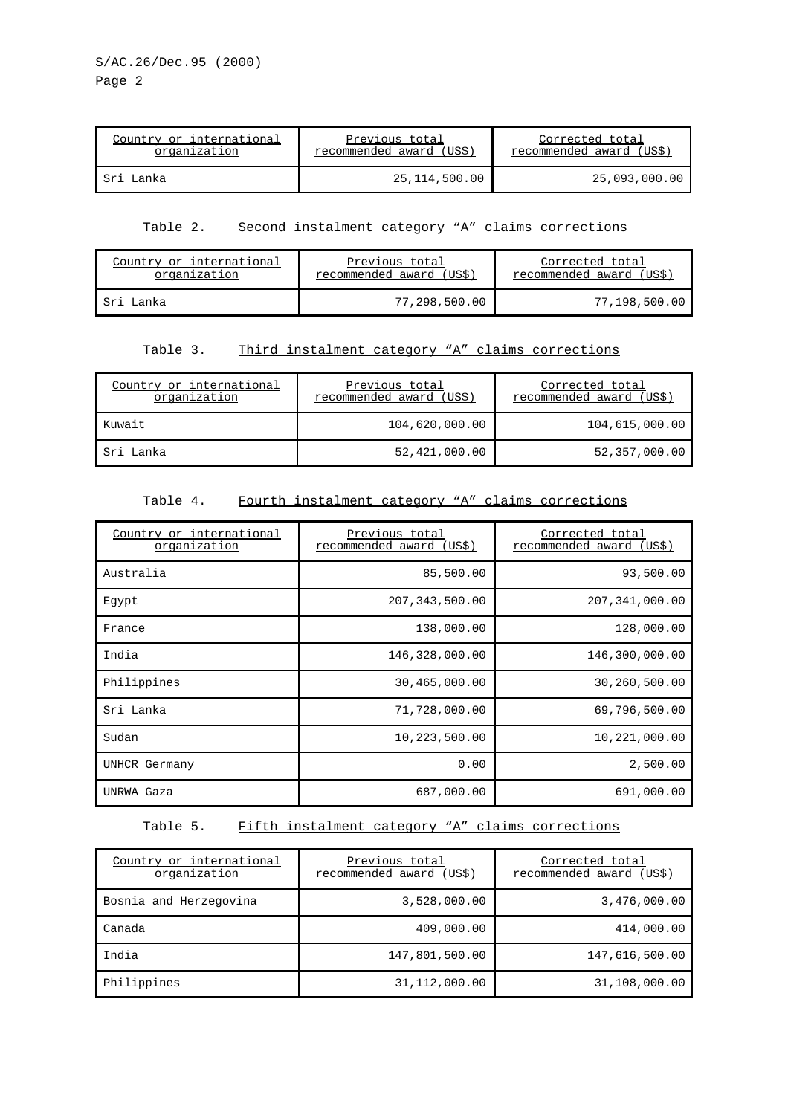| Country or international | Previous total           | Corrected total          |
|--------------------------|--------------------------|--------------------------|
| organization             | recommended award (US\$) | recommended award (US\$) |
| Sri Lanka                | 25,114,500.00            | 25,093,000.00            |

#### Table 2. Second instalment category "A" claims corrections

| Country or international | Previous total           | Corrected total         |
|--------------------------|--------------------------|-------------------------|
| organization             | recommended award (US\$) | recommended award (USS) |
| Sri Lanka                | 77,298,500.00            | 77,198,500.00           |

#### Table 3. Third instalment category "A" claims corrections

| Country or international<br>organization | Previous total<br>recommended award (US\$) | Corrected total<br>recommended award (US\$) |
|------------------------------------------|--------------------------------------------|---------------------------------------------|
| Kuwait                                   | 104,620,000.00                             | 104,615,000.00                              |
| Sri Lanka                                | 52,421,000.00                              | 52,357,000.00                               |

#### Table 4. Fourth instalment category "A" claims corrections

| Country or international<br>organization | Previous total<br>recommended award (US\$) | Corrected total<br>recommended award (US\$) |
|------------------------------------------|--------------------------------------------|---------------------------------------------|
| Australia                                | 85,500.00                                  | 93,500.00                                   |
| Egypt                                    | 207, 343, 500.00                           | 207, 341, 000.00                            |
| France                                   | 138,000.00                                 | 128,000.00                                  |
| India                                    | 146,328,000.00                             | 146,300,000.00                              |
| Philippines                              | 30,465,000.00                              | 30,260,500.00                               |
| Sri Lanka                                | 71,728,000.00                              | 69,796,500.00                               |
| Sudan                                    | 10,223,500.00                              | 10,221,000.00                               |
| UNHCR Germany                            | 0.00                                       | 2,500.00                                    |
| UNRWA Gaza                               | 687,000.00                                 | 691,000.00                                  |

#### Table 5. Fifth instalment category "A" claims corrections

| Country or international<br>organization | Previous total<br>recommended award (US\$) | Corrected total<br>recommended award (US\$) |
|------------------------------------------|--------------------------------------------|---------------------------------------------|
| Bosnia and Herzegovina                   | 3,528,000.00                               | 3,476,000.00                                |
| Canada                                   | 409,000.00                                 | 414,000.00                                  |
| India                                    | 147,801,500.00                             | 147,616,500.00                              |
| Philippines                              | 31,112,000.00                              | 31,108,000.00                               |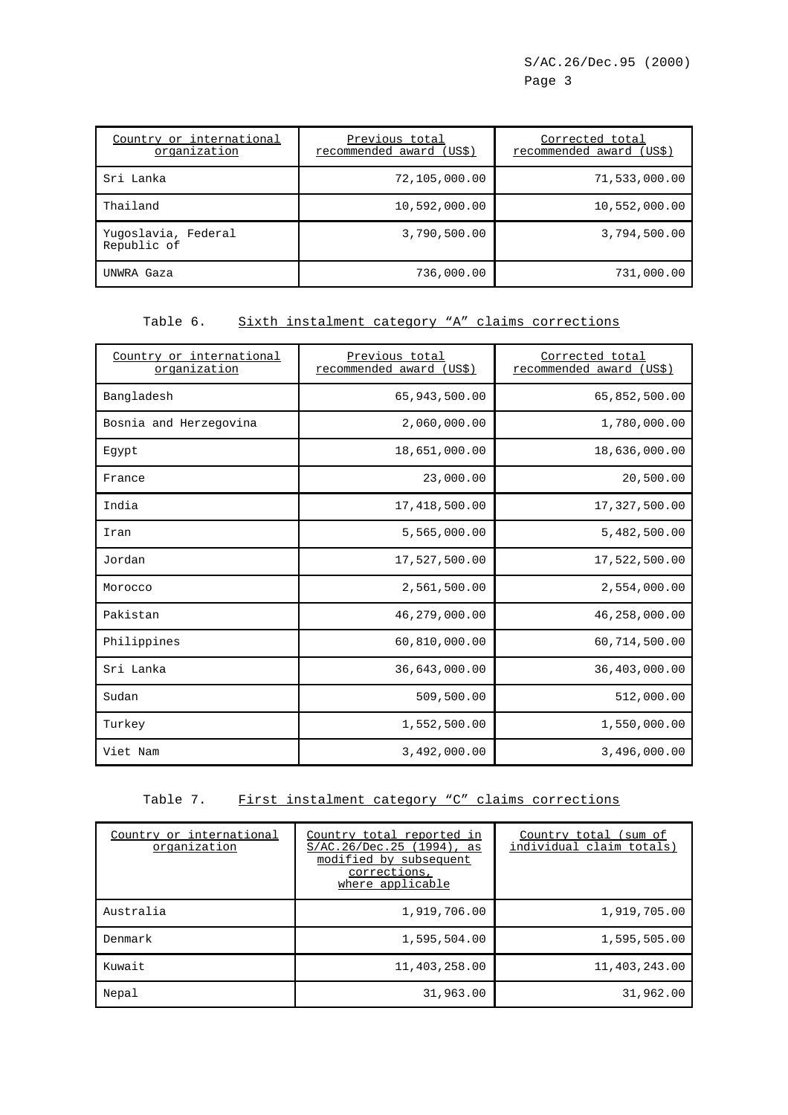| Country or international<br>organization | Previous total<br>recommended award (US\$) | Corrected total<br>recommended award (US\$) |
|------------------------------------------|--------------------------------------------|---------------------------------------------|
| Sri Lanka                                | 72,105,000.00                              | 71,533,000.00                               |
| Thailand                                 | 10,592,000.00                              | 10,552,000.00                               |
| Yuqoslavia, Federal<br>Republic of       | 3,790,500.00                               | 3,794,500.00                                |
| UNWRA Gaza                               | 736,000.00                                 | 731,000.00                                  |

#### Table 6. Sixth instalment category "A" claims corrections

| Country or international<br>organization | Previous total<br>recommended award (US\$) | Corrected total<br>recommended award<br>(US\$) |
|------------------------------------------|--------------------------------------------|------------------------------------------------|
| Bangladesh                               | 65,943,500.00                              | 65,852,500.00                                  |
| Bosnia and Herzegovina                   | 2,060,000.00                               | 1,780,000.00                                   |
| Egypt                                    | 18,651,000.00                              | 18,636,000.00                                  |
| France                                   | 23,000.00                                  | 20,500.00                                      |
| India                                    | 17,418,500.00                              | 17,327,500.00                                  |
| Iran                                     | 5,565,000.00                               | 5,482,500.00                                   |
| Jordan                                   | 17,527,500.00                              | 17,522,500.00                                  |
| Morocco                                  | 2,561,500.00                               | 2,554,000.00                                   |
| Pakistan                                 | 46,279,000.00                              | 46,258,000.00                                  |
| Philippines                              | 60,810,000.00                              | 60,714,500.00                                  |
| Sri Lanka                                | 36,643,000.00                              | 36,403,000.00                                  |
| Sudan                                    | 509,500.00                                 | 512,000.00                                     |
| Turkey                                   | 1,552,500.00                               | 1,550,000.00                                   |
| Viet Nam                                 | 3,492,000.00                               | 3,496,000.00                                   |

#### Table 7. First instalment category "C" claims corrections

| Country or international<br>organization | Country total reported in<br>$S/AC.26/Dec.25$ (1994), as<br>modified by subsequent<br>corrections,<br>where applicable | Country total<br>sum of<br>individual claim totals) |
|------------------------------------------|------------------------------------------------------------------------------------------------------------------------|-----------------------------------------------------|
| Australia                                | 1,919,706.00                                                                                                           | 1,919,705.00                                        |
| Denmark                                  | 1,595,504.00                                                                                                           | 1,595,505.00                                        |
| Kuwait                                   | 11,403,258.00                                                                                                          | 11,403,243.00                                       |
| Nepal                                    | 31,963.00                                                                                                              | 31,962.00                                           |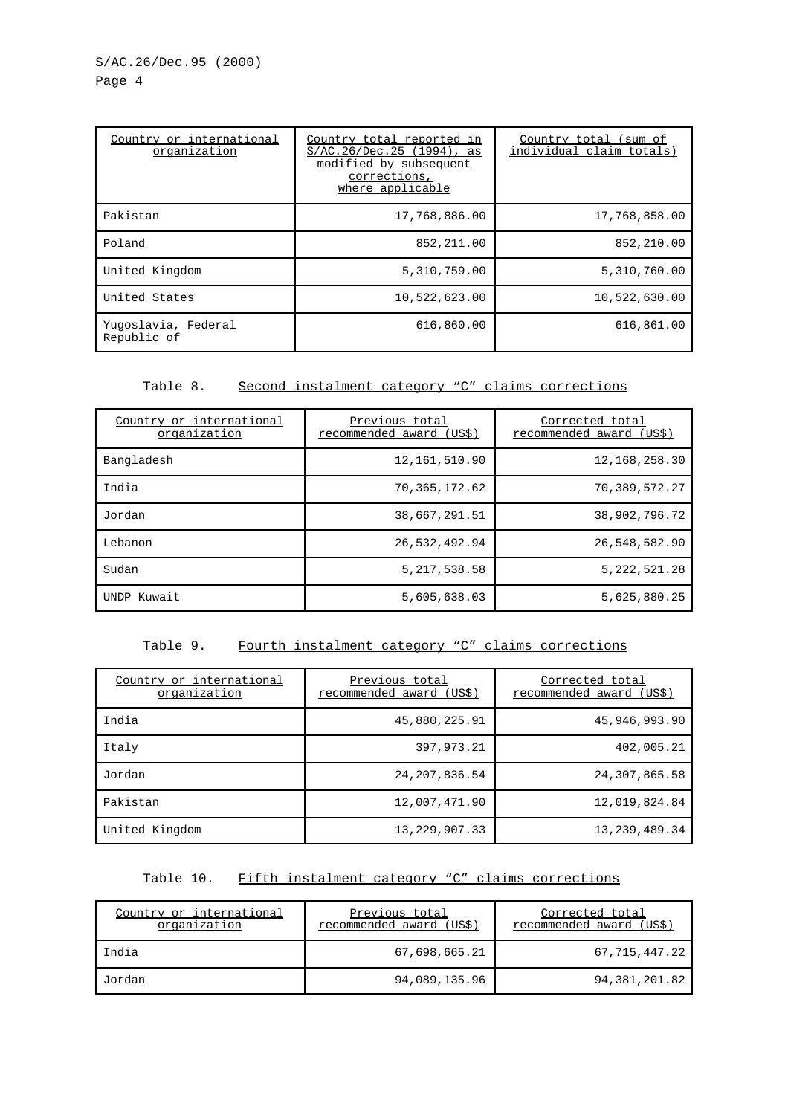| Country or international<br>organization | Country total reported in<br>S/AC.26/Dec.25 (1994), as<br>modified by subsequent<br>corrections,<br>where applicable | Country total (sum of<br>individual claim totals) |
|------------------------------------------|----------------------------------------------------------------------------------------------------------------------|---------------------------------------------------|
| Pakistan                                 | 17,768,886.00                                                                                                        | 17,768,858.00                                     |
| Poland                                   | 852, 211.00                                                                                                          | 852,210.00                                        |
| United Kingdom                           | 5,310,759.00                                                                                                         | 5,310,760.00                                      |
| United States                            | 10,522,623.00                                                                                                        | 10,522,630.00                                     |
| Yugoslavia, Federal<br>Republic of       | 616,860.00                                                                                                           | 616,861.00                                        |

## Table 8. Second instalment category "C" claims corrections

| Country or international<br>organization | Previous total<br>recommended award (US\$) | Corrected total<br>recommended award<br>(US\$) |
|------------------------------------------|--------------------------------------------|------------------------------------------------|
| Bangladesh                               | 12, 161, 510.90                            | 12, 168, 258. 30                               |
| India                                    | 70, 365, 172.62                            | 70,389,572.27                                  |
| Jordan                                   | 38,667,291.51                              | 38,902,796.72                                  |
| Lebanon                                  | 26,532,492.94                              | 26,548,582.90                                  |
| Sudan                                    | 5, 217, 538.58                             | 5, 222, 521. 28                                |
| UNDP Kuwait                              | 5,605,638.03                               | 5,625,880.25                                   |

#### Table 9. Fourth instalment category "C" claims corrections

| Country or international<br>organization | Previous total<br>recommended award (US\$) | Corrected total<br>recommended award (US\$) |
|------------------------------------------|--------------------------------------------|---------------------------------------------|
| India                                    | 45,880,225.91                              | 45,946,993.90                               |
| Italy                                    | 397, 973, 21                               | 402,005.21                                  |
| Jordan                                   | 24, 207, 836.54                            | 24,307,865.58                               |
| Pakistan                                 | 12,007,471.90                              | 12,019,824.84                               |
| United Kingdom                           | 13, 229, 907. 33                           | 13, 239, 489. 34                            |

#### Table 10. Fifth instalment category "C" claims corrections

| Country or international<br>organization | Previous total<br>recommended award (US\$) | Corrected total<br>recommended award (US\$) |
|------------------------------------------|--------------------------------------------|---------------------------------------------|
| India                                    | 67,698,665.21                              | 67,715,447.22                               |
| Jordan                                   | 94,089,135.96                              | 94,381,201.82                               |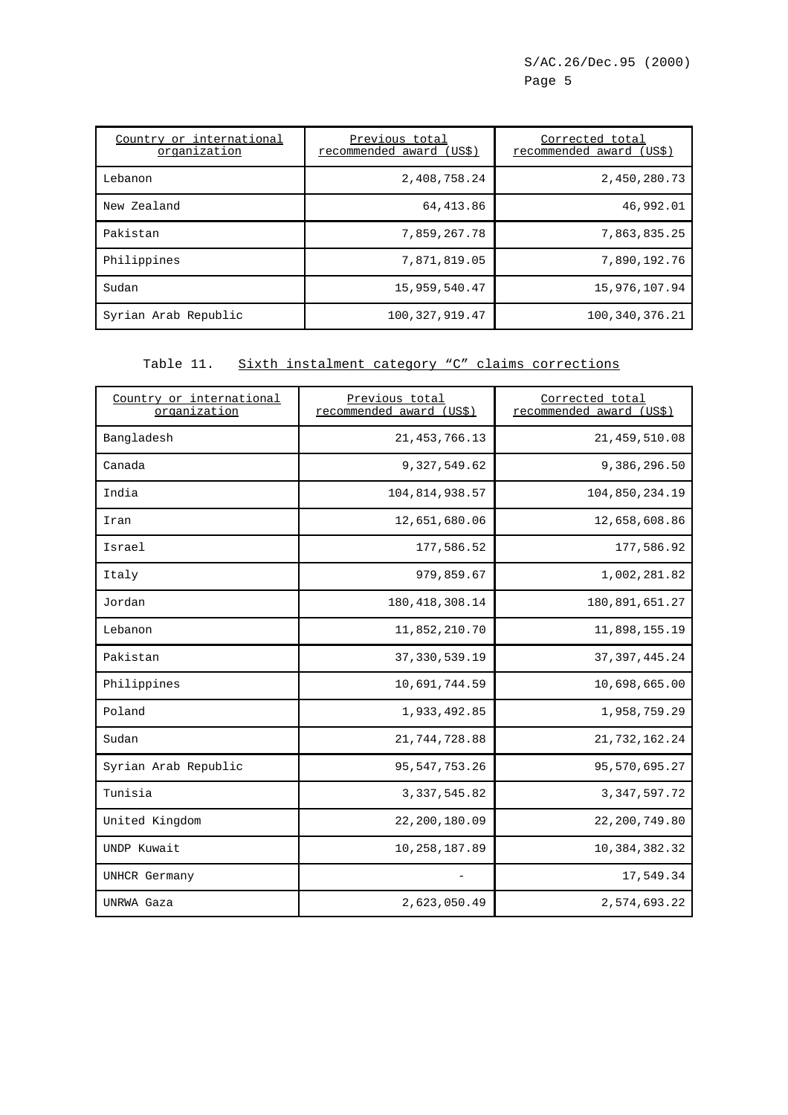| Country or international<br>organization | Previous total<br>recommended award (US\$) | Corrected total<br>recommended award (US\$) |
|------------------------------------------|--------------------------------------------|---------------------------------------------|
| Lebanon                                  | 2,408,758.24                               | 2,450,280.73                                |
| New Zealand                              | 64,413.86                                  | 46,992.01                                   |
| Pakistan                                 | 7,859,267.78                               | 7,863,835.25                                |
| Philippines                              | 7,871,819.05                               | 7,890,192.76                                |
| Sudan                                    | 15,959,540.47                              | 15,976,107.94                               |
| Syrian Arab Republic                     | 100, 327, 919.47                           | 100,340,376.21                              |

### Table 11. Sixth instalment category "C" claims corrections

| Country or international<br>organization | Previous total<br>recommended award (US\$) | Corrected total<br>recommended award (US\$) |
|------------------------------------------|--------------------------------------------|---------------------------------------------|
| Bangladesh                               | 21, 453, 766.13                            | 21, 459, 510.08                             |
| Canada                                   | 9,327,549.62                               | 9,386,296.50                                |
| India                                    | 104,814,938.57                             | 104,850,234.19                              |
| Iran                                     | 12,651,680.06                              | 12,658,608.86                               |
| Israel                                   | 177,586.52                                 | 177,586.92                                  |
| Italy                                    | 979,859.67                                 | 1,002,281.82                                |
| Jordan                                   | 180, 418, 308. 14                          | 180,891,651.27                              |
| Lebanon                                  | 11,852,210.70                              | 11,898,155.19                               |
| Pakistan                                 | 37, 330, 539.19                            | 37, 397, 445.24                             |
| Philippines                              | 10,691,744.59                              | 10,698,665.00                               |
| Poland                                   | 1,933,492.85                               | 1,958,759.29                                |
| Sudan                                    | 21,744,728.88                              | 21,732,162.24                               |
| Syrian Arab Republic                     | 95, 547, 753. 26                           | 95,570,695.27                               |
| Tunisia                                  | 3, 337, 545.82                             | 3, 347, 597. 72                             |
| United Kingdom                           | 22,200,180.09                              | 22,200,749.80                               |
| UNDP Kuwait                              | 10,258,187.89                              | 10,384,382.32                               |
| UNHCR Germany                            |                                            | 17,549.34                                   |
| UNRWA Gaza                               | 2,623,050.49                               | 2,574,693.22                                |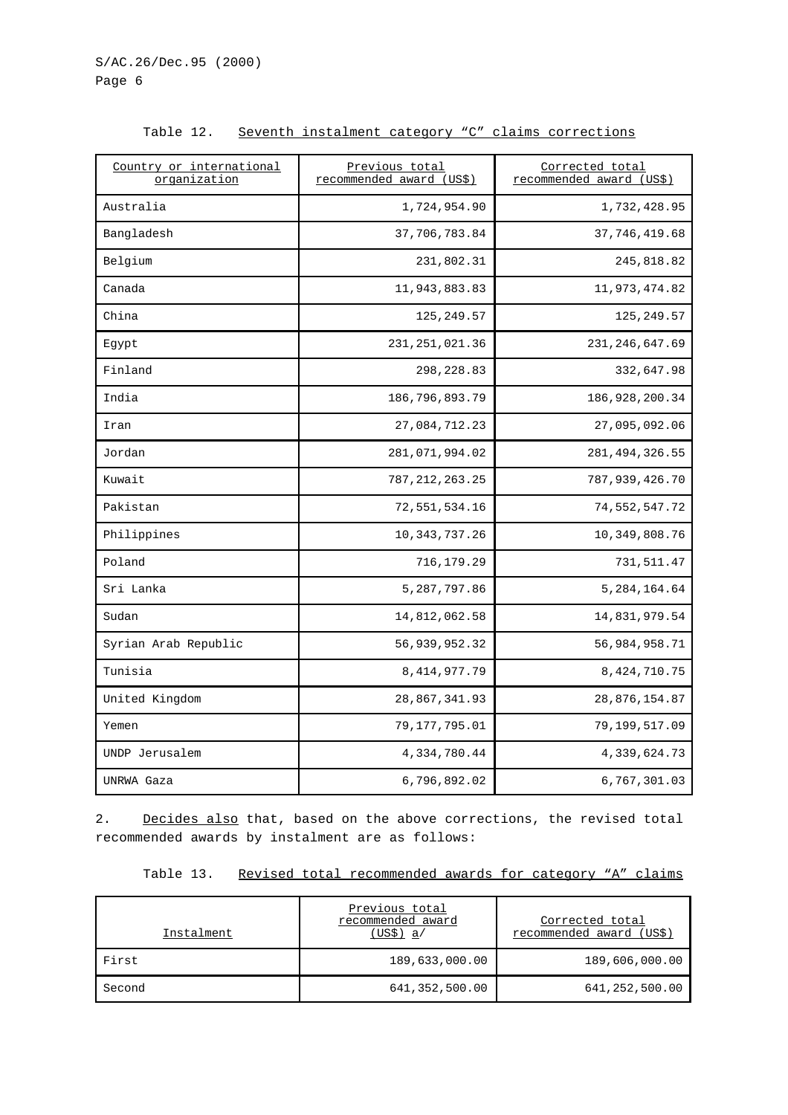| Country or international<br>organization | Previous total<br>recommended award (US\$) | Corrected total<br>recommended award (US\$) |
|------------------------------------------|--------------------------------------------|---------------------------------------------|
| Australia                                | 1,724,954.90                               | 1,732,428.95                                |
| Bangladesh                               | 37,706,783.84                              | 37, 746, 419.68                             |
| Belgium                                  | 231,802.31                                 | 245,818.82                                  |
| Canada                                   | 11,943,883.83                              | 11,973,474.82                               |
| China                                    | 125,249.57                                 | 125,249.57                                  |
| Egypt                                    | 231, 251, 021.36                           | 231, 246, 647.69                            |
| Finland                                  | 298, 228.83                                | 332,647.98                                  |
| India                                    | 186,796,893.79                             | 186, 928, 200.34                            |
| Iran                                     | 27,084,712.23                              | 27,095,092.06                               |
| Jordan                                   | 281,071,994.02                             | 281, 494, 326.55                            |
| Kuwait                                   | 787, 212, 263. 25                          | 787,939,426.70                              |
| Pakistan                                 | 72,551,534.16                              | 74,552,547.72                               |
| Philippines                              | 10,343,737.26                              | 10,349,808.76                               |
| Poland                                   | 716,179.29                                 | 731,511.47                                  |
| Sri Lanka                                | 5,287,797.86                               | 5,284,164.64                                |
| Sudan                                    | 14,812,062.58                              | 14,831,979.54                               |
| Syrian Arab Republic                     | 56,939,952.32                              | 56,984,958.71                               |
| Tunisia                                  | 8, 414, 977. 79                            | 8, 424, 710. 75                             |
| United Kingdom                           | 28,867,341.93                              | 28,876,154.87                               |
| Yemen                                    | 79, 177, 795.01                            | 79,199,517.09                               |
| UNDP Jerusalem                           | 4,334,780.44                               | 4,339,624.73                                |
| UNRWA Gaza                               | 6,796,892.02                               | 6,767,301.03                                |

Table 12. Seventh instalment category "C" claims corrections

2. Decides also that, based on the above corrections, the revised total recommended awards by instalment are as follows:

|  | Table 13. Revised total recommended awards for category "A" claims |  |  |  |  |  |  |  |  |
|--|--------------------------------------------------------------------|--|--|--|--|--|--|--|--|
|--|--------------------------------------------------------------------|--|--|--|--|--|--|--|--|

| Instalment | Previous total<br>recommended award<br>$(US\$ ) a/ | Corrected total<br>recommended award (US\$) |
|------------|----------------------------------------------------|---------------------------------------------|
| First      | 189,633,000.00                                     | 189,606,000.00                              |
| Second     | 641,352,500.00                                     | 641,252,500.00                              |